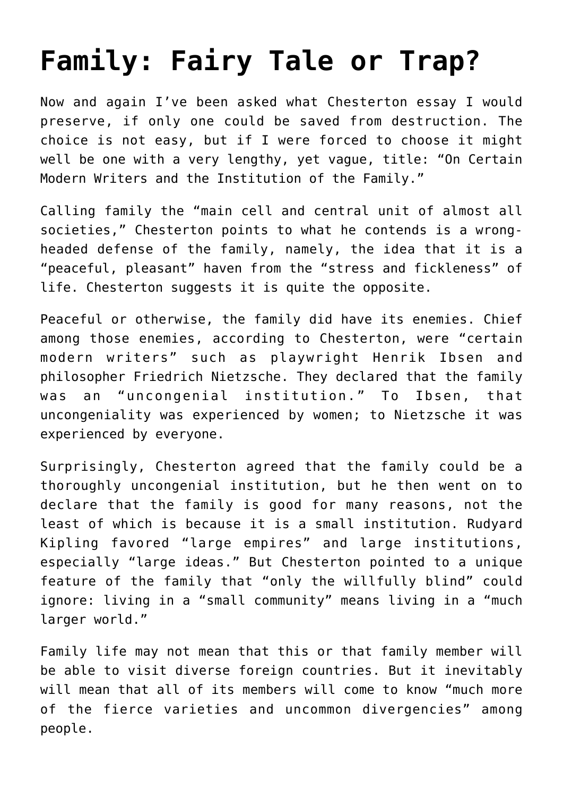## **[Family: Fairy Tale or Trap?](https://intellectualtakeout.org/2018/10/family-fairy-tale-or-trap/)**

Now and again I've been asked what Chesterton essay I would preserve, if only one could be saved from destruction. The choice is not easy, but if I were forced to choose it might well be one with a very lengthy, yet vague, title: "On Certain Modern Writers and the Institution of the Family."

Calling family the "main cell and central unit of almost all societies," Chesterton points to what he contends is a wrongheaded defense of the family, namely, the idea that it is a "peaceful, pleasant" haven from the "stress and fickleness" of life. Chesterton suggests it is quite the opposite.

Peaceful or otherwise, the family did have its enemies. Chief among those enemies, according to Chesterton, were "certain modern writers" such as playwright Henrik Ibsen and philosopher Friedrich Nietzsche. They declared that the family was an "uncongenial institution." To Ibsen, that uncongeniality was experienced by women; to Nietzsche it was experienced by everyone.

Surprisingly, Chesterton agreed that the family could be a thoroughly uncongenial institution, but he then went on to declare that the family is good for many reasons, not the least of which is because it is a small institution. Rudyard Kipling favored "large empires" and large institutions, especially "large ideas." But Chesterton pointed to a unique feature of the family that "only the willfully blind" could ignore: living in a "small community" means living in a "much larger world."

Family life may not mean that this or that family member will be able to visit diverse foreign countries. But it inevitably will mean that all of its members will come to know "much more of the fierce varieties and uncommon divergencies" among people.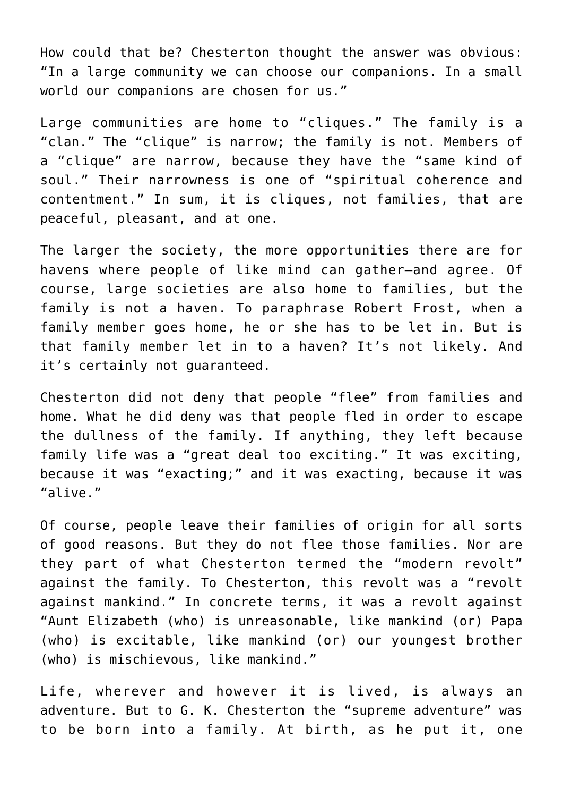How could that be? Chesterton thought the answer was obvious: "In a large community we can choose our companions. In a small world our companions are chosen for us."

Large communities are home to "cliques." The family is a "clan." The "clique" is narrow; the family is not. Members of a "clique" are narrow, because they have the "same kind of soul." Their narrowness is one of "spiritual coherence and contentment." In sum, it is cliques, not families, that are peaceful, pleasant, and at one.

The larger the society, the more opportunities there are for havens where people of like mind can gather—and agree. Of course, large societies are also home to families, but the family is not a haven. To paraphrase Robert Frost, when a family member goes home, he or she has to be let in. But is that family member let in to a haven? It's not likely. And it's certainly not guaranteed.

Chesterton did not deny that people "flee" from families and home. What he did deny was that people fled in order to escape the dullness of the family. If anything, they left because family life was a "great deal too exciting." It was exciting, because it was "exacting;" and it was exacting, because it was "alive."

Of course, people leave their families of origin for all sorts of good reasons. But they do not flee those families. Nor are they part of what Chesterton termed the "modern revolt" against the family. To Chesterton, this revolt was a "revolt against mankind." In concrete terms, it was a revolt against "Aunt Elizabeth (who) is unreasonable, like mankind (or) Papa (who) is excitable, like mankind (or) our youngest brother (who) is mischievous, like mankind."

Life, wherever and however it is lived, is always an adventure. But to G. K. Chesterton the "supreme adventure" was to be born into a family. At birth, as he put it, one